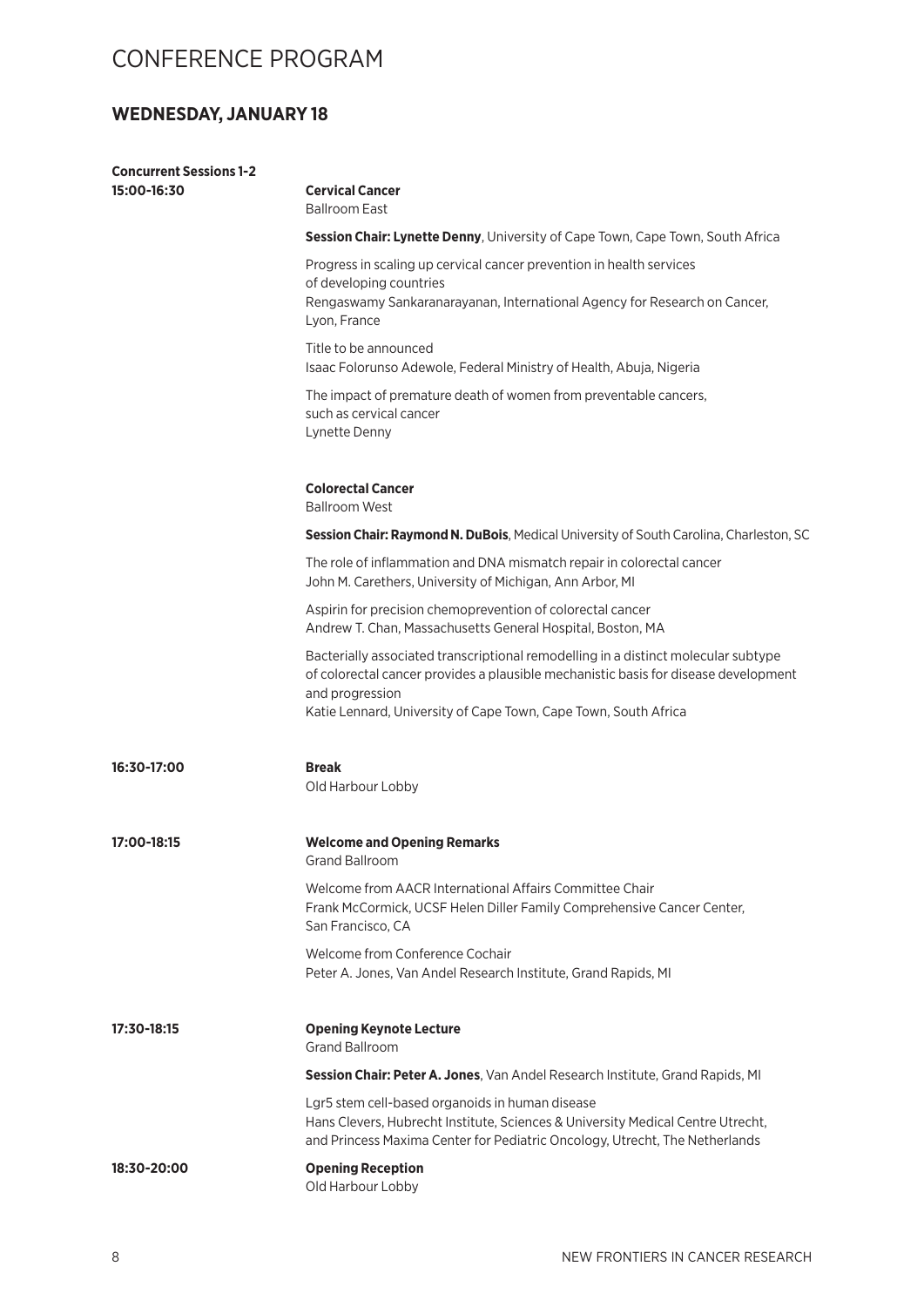#### **WEDNESDAY, JANUARY 18**

| <b>Concurrent Sessions 1-2</b> |                                                                                                                                                                                                                                                                 |
|--------------------------------|-----------------------------------------------------------------------------------------------------------------------------------------------------------------------------------------------------------------------------------------------------------------|
| 15:00-16:30                    | <b>Cervical Cancer</b><br><b>Ballroom East</b>                                                                                                                                                                                                                  |
|                                | Session Chair: Lynette Denny, University of Cape Town, Cape Town, South Africa                                                                                                                                                                                  |
|                                | Progress in scaling up cervical cancer prevention in health services                                                                                                                                                                                            |
|                                | of developing countries<br>Rengaswamy Sankaranarayanan, International Agency for Research on Cancer,<br>Lyon, France                                                                                                                                            |
|                                | Title to be announced<br>Isaac Folorunso Adewole, Federal Ministry of Health, Abuja, Nigeria                                                                                                                                                                    |
|                                | The impact of premature death of women from preventable cancers,<br>such as cervical cancer<br>Lynette Denny                                                                                                                                                    |
|                                | <b>Colorectal Cancer</b><br><b>Ballroom West</b>                                                                                                                                                                                                                |
|                                | Session Chair: Raymond N. DuBois, Medical University of South Carolina, Charleston, SC                                                                                                                                                                          |
|                                | The role of inflammation and DNA mismatch repair in colorectal cancer<br>John M. Carethers, University of Michigan, Ann Arbor, MI                                                                                                                               |
|                                | Aspirin for precision chemoprevention of colorectal cancer<br>Andrew T. Chan, Massachusetts General Hospital, Boston, MA                                                                                                                                        |
|                                | Bacterially associated transcriptional remodelling in a distinct molecular subtype<br>of colorectal cancer provides a plausible mechanistic basis for disease development<br>and progression<br>Katie Lennard, University of Cape Town, Cape Town, South Africa |
| 16:30-17:00                    | <b>Break</b><br>Old Harbour Lobby                                                                                                                                                                                                                               |
| 17:00-18:15                    | <b>Welcome and Opening Remarks</b><br><b>Grand Ballroom</b>                                                                                                                                                                                                     |
|                                | Welcome from AACR International Affairs Committee Chair<br>Frank McCormick, UCSF Helen Diller Family Comprehensive Cancer Center,<br>San Francisco, CA                                                                                                          |
|                                | Welcome from Conference Cochair<br>Peter A. Jones, Van Andel Research Institute, Grand Rapids, MI                                                                                                                                                               |
| 17:30-18:15                    | <b>Opening Keynote Lecture</b><br><b>Grand Ballroom</b>                                                                                                                                                                                                         |
|                                | Session Chair: Peter A. Jones, Van Andel Research Institute, Grand Rapids, MI                                                                                                                                                                                   |
|                                | Lgr5 stem cell-based organoids in human disease<br>Hans Clevers, Hubrecht Institute, Sciences & University Medical Centre Utrecht,<br>and Princess Maxima Center for Pediatric Oncology, Utrecht, The Netherlands                                               |
| 18:30-20:00                    | <b>Opening Reception</b><br>Old Harbour Lobby                                                                                                                                                                                                                   |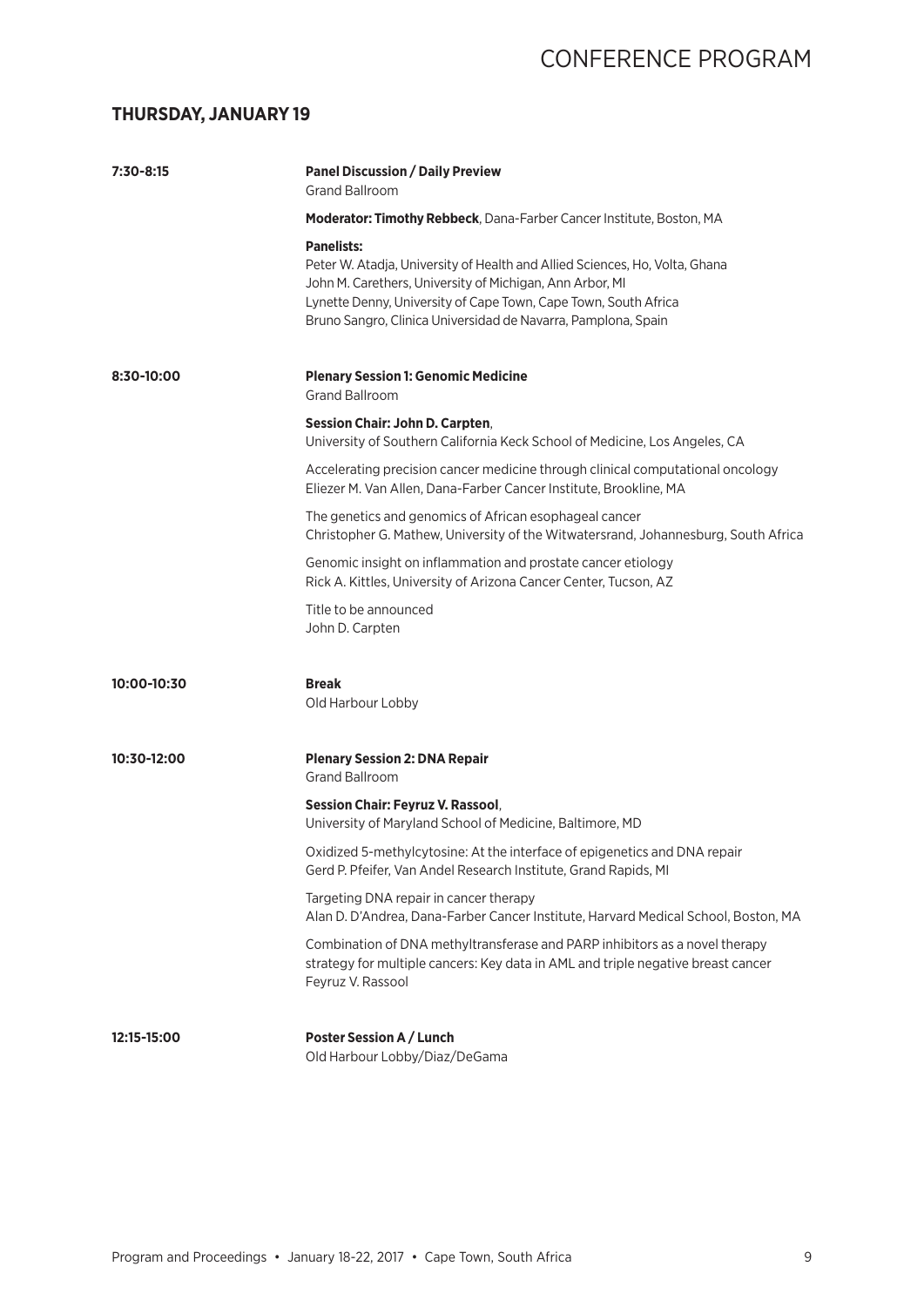#### **THURSDAY, JANUARY 19**

| 7:30-8:15   | <b>Panel Discussion / Daily Preview</b><br><b>Grand Ballroom</b>                                                                                                                                                                                                                                 |
|-------------|--------------------------------------------------------------------------------------------------------------------------------------------------------------------------------------------------------------------------------------------------------------------------------------------------|
|             | Moderator: Timothy Rebbeck, Dana-Farber Cancer Institute, Boston, MA                                                                                                                                                                                                                             |
|             | <b>Panelists:</b><br>Peter W. Atadja, University of Health and Allied Sciences, Ho, Volta, Ghana<br>John M. Carethers, University of Michigan, Ann Arbor, MI<br>Lynette Denny, University of Cape Town, Cape Town, South Africa<br>Bruno Sangro, Clinica Universidad de Navarra, Pamplona, Spain |
| 8:30-10:00  | <b>Plenary Session 1: Genomic Medicine</b><br><b>Grand Ballroom</b>                                                                                                                                                                                                                              |
|             | <b>Session Chair: John D. Carpten,</b><br>University of Southern California Keck School of Medicine, Los Angeles, CA                                                                                                                                                                             |
|             | Accelerating precision cancer medicine through clinical computational oncology<br>Eliezer M. Van Allen, Dana-Farber Cancer Institute, Brookline, MA                                                                                                                                              |
|             | The genetics and genomics of African esophageal cancer<br>Christopher G. Mathew, University of the Witwatersrand, Johannesburg, South Africa                                                                                                                                                     |
|             | Genomic insight on inflammation and prostate cancer etiology<br>Rick A. Kittles, University of Arizona Cancer Center, Tucson, AZ                                                                                                                                                                 |
|             | Title to be announced<br>John D. Carpten                                                                                                                                                                                                                                                         |
| 10:00-10:30 | <b>Break</b><br>Old Harbour Lobby                                                                                                                                                                                                                                                                |
| 10:30-12:00 | <b>Plenary Session 2: DNA Repair</b><br><b>Grand Ballroom</b>                                                                                                                                                                                                                                    |
|             | <b>Session Chair: Feyruz V. Rassool,</b><br>University of Maryland School of Medicine, Baltimore, MD                                                                                                                                                                                             |
|             | Oxidized 5-methylcytosine: At the interface of epigenetics and DNA repair<br>Gerd P. Pfeifer, Van Andel Research Institute, Grand Rapids, MI                                                                                                                                                     |
|             | Targeting DNA repair in cancer therapy<br>Alan D. D'Andrea, Dana-Farber Cancer Institute, Harvard Medical School, Boston, MA                                                                                                                                                                     |
|             | Combination of DNA methyltransferase and PARP inhibitors as a novel therapy<br>strategy for multiple cancers: Key data in AML and triple negative breast cancer<br>Feyruz V. Rassool                                                                                                             |
| 12:15-15:00 | Poster Session A / Lunch<br>Old Harbour Lobby/Diaz/DeGama                                                                                                                                                                                                                                        |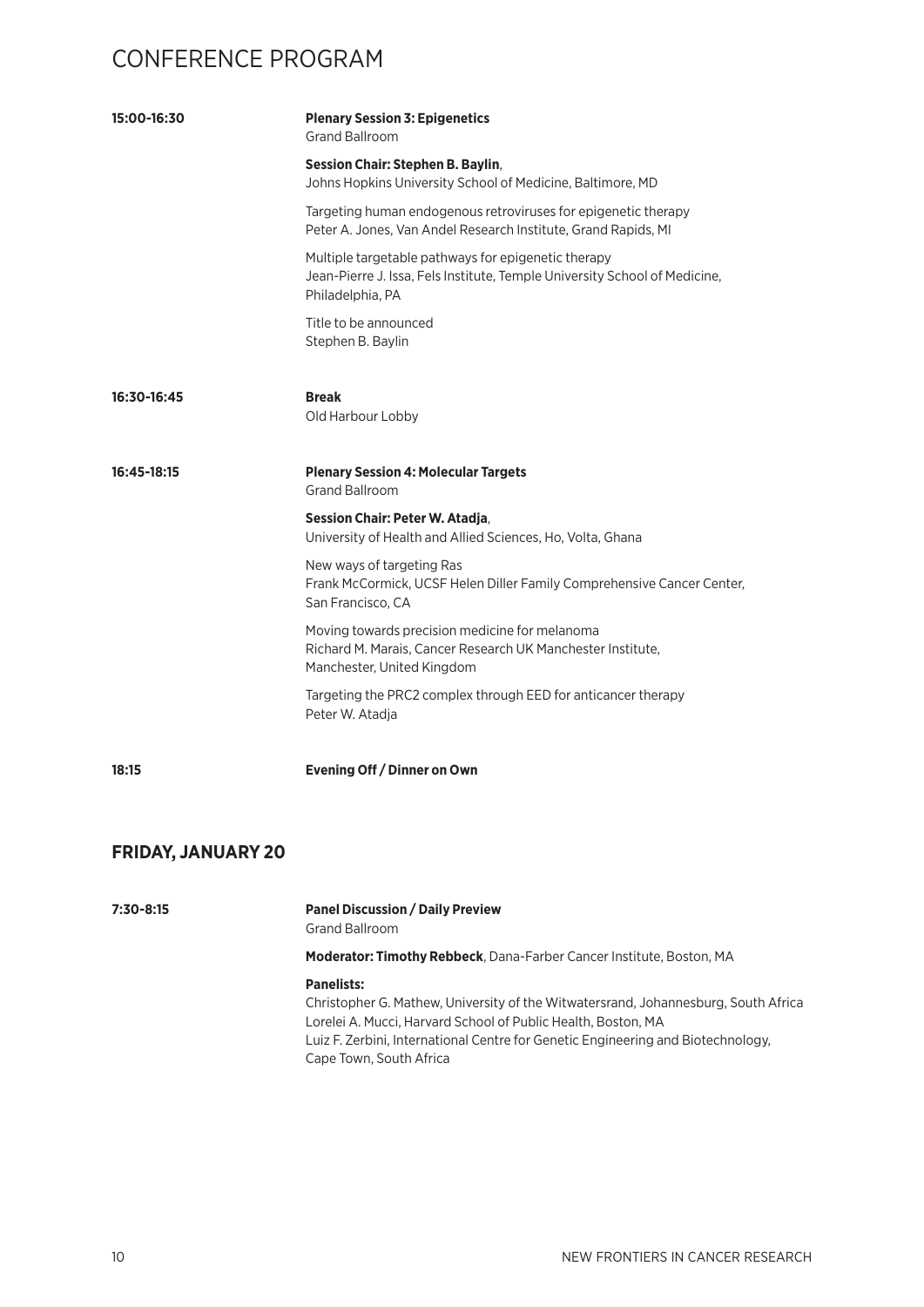| 15:00-16:30               | <b>Plenary Session 3: Epigenetics</b><br><b>Grand Ballroom</b>                                                                                        |
|---------------------------|-------------------------------------------------------------------------------------------------------------------------------------------------------|
|                           | Session Chair: Stephen B. Baylin,<br>Johns Hopkins University School of Medicine, Baltimore, MD                                                       |
|                           | Targeting human endogenous retroviruses for epigenetic therapy<br>Peter A. Jones, Van Andel Research Institute, Grand Rapids, MI                      |
|                           | Multiple targetable pathways for epigenetic therapy<br>Jean-Pierre J. Issa, Fels Institute, Temple University School of Medicine,<br>Philadelphia, PA |
|                           | Title to be announced<br>Stephen B. Baylin                                                                                                            |
| 16:30-16:45               | <b>Break</b><br>Old Harbour Lobby                                                                                                                     |
| 16:45-18:15               | <b>Plenary Session 4: Molecular Targets</b><br><b>Grand Ballroom</b>                                                                                  |
|                           | Session Chair: Peter W. Atadja,<br>University of Health and Allied Sciences, Ho, Volta, Ghana                                                         |
|                           | New ways of targeting Ras<br>Frank McCormick, UCSF Helen Diller Family Comprehensive Cancer Center,<br>San Francisco, CA                              |
|                           | Moving towards precision medicine for melanoma<br>Richard M. Marais, Cancer Research UK Manchester Institute,<br>Manchester, United Kingdom           |
|                           | Targeting the PRC2 complex through EED for anticancer therapy<br>Peter W. Atadja                                                                      |
| 18:15                     | Evening Off / Dinner on Own                                                                                                                           |
| <b>FRIDAY, JANUARY 20</b> |                                                                                                                                                       |

**7:30-8:15 Panel Discussion / Daily Preview** Grand Ballroom **Moderator: Timothy Rebbeck**, Dana-Farber Cancer Institute, Boston, MA **Panelists:** Christopher G. Mathew, University of the Witwatersrand, Johannesburg, South Africa Lorelei A. Mucci, Harvard School of Public Health, Boston, MA Luiz F. Zerbini, International Centre for Genetic Engineering and Biotechnology, Cape Town, South Africa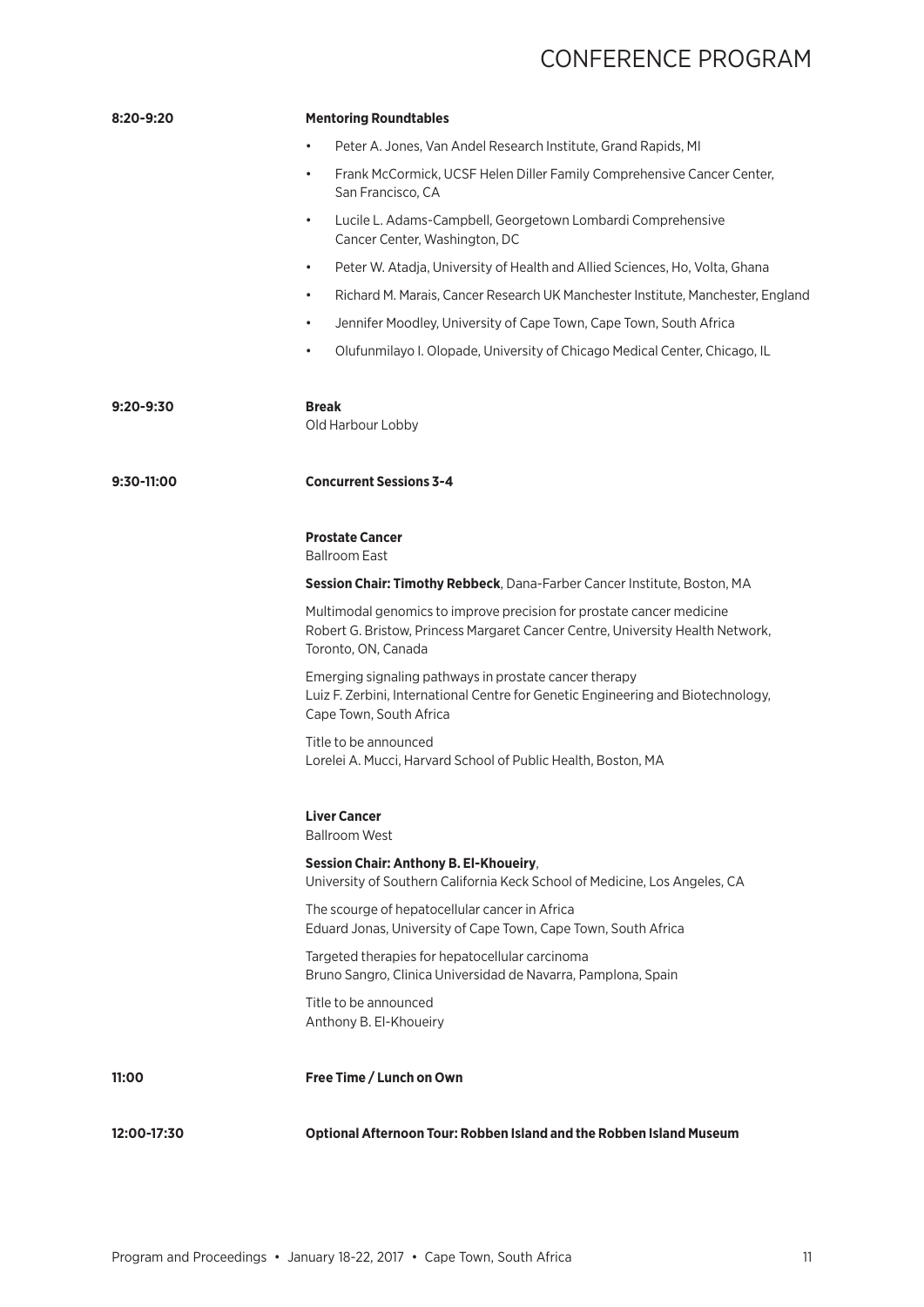| $8:20 - 9:20$ | <b>Mentoring Roundtables</b>                                                                                                                                                   |
|---------------|--------------------------------------------------------------------------------------------------------------------------------------------------------------------------------|
|               | Peter A. Jones, Van Andel Research Institute, Grand Rapids, MI<br>$\bullet$                                                                                                    |
|               | Frank McCormick, UCSF Helen Diller Family Comprehensive Cancer Center,<br>$\bullet$<br>San Francisco, CA                                                                       |
|               | Lucile L. Adams-Campbell, Georgetown Lombardi Comprehensive<br>$\bullet$<br>Cancer Center, Washington, DC                                                                      |
|               | Peter W. Atadja, University of Health and Allied Sciences, Ho, Volta, Ghana<br>$\bullet$                                                                                       |
|               | Richard M. Marais, Cancer Research UK Manchester Institute, Manchester, England<br>$\bullet$                                                                                   |
|               | Jennifer Moodley, University of Cape Town, Cape Town, South Africa<br>$\bullet$                                                                                                |
|               | Olufunmilayo I. Olopade, University of Chicago Medical Center, Chicago, IL<br>$\bullet$                                                                                        |
| $9:20 - 9:30$ | <b>Break</b><br>Old Harbour Lobby                                                                                                                                              |
| 9:30-11:00    | <b>Concurrent Sessions 3-4</b>                                                                                                                                                 |
|               | <b>Prostate Cancer</b><br><b>Ballroom East</b>                                                                                                                                 |
|               | Session Chair: Timothy Rebbeck, Dana-Farber Cancer Institute, Boston, MA                                                                                                       |
|               | Multimodal genomics to improve precision for prostate cancer medicine<br>Robert G. Bristow, Princess Margaret Cancer Centre, University Health Network,<br>Toronto, ON, Canada |
|               | Emerging signaling pathways in prostate cancer therapy<br>Luiz F. Zerbini, International Centre for Genetic Engineering and Biotechnology,<br>Cape Town, South Africa          |
|               | Title to be announced<br>Lorelei A. Mucci, Harvard School of Public Health, Boston, MA                                                                                         |
|               | <b>Liver Cancer</b><br><b>Ballroom West</b>                                                                                                                                    |
|               | Session Chair: Anthony B. El-Khoueiry,<br>University of Southern California Keck School of Medicine, Los Angeles, CA                                                           |
|               | The scourge of hepatocellular cancer in Africa<br>Eduard Jonas, University of Cape Town, Cape Town, South Africa                                                               |
|               | Targeted therapies for hepatocellular carcinoma<br>Bruno Sangro, Clinica Universidad de Navarra, Pamplona, Spain                                                               |
|               | Title to be announced<br>Anthony B. El-Khoueiry                                                                                                                                |
| 11:00         | Free Time / Lunch on Own                                                                                                                                                       |
| 12:00-17:30   | Optional Afternoon Tour: Robben Island and the Robben Island Museum                                                                                                            |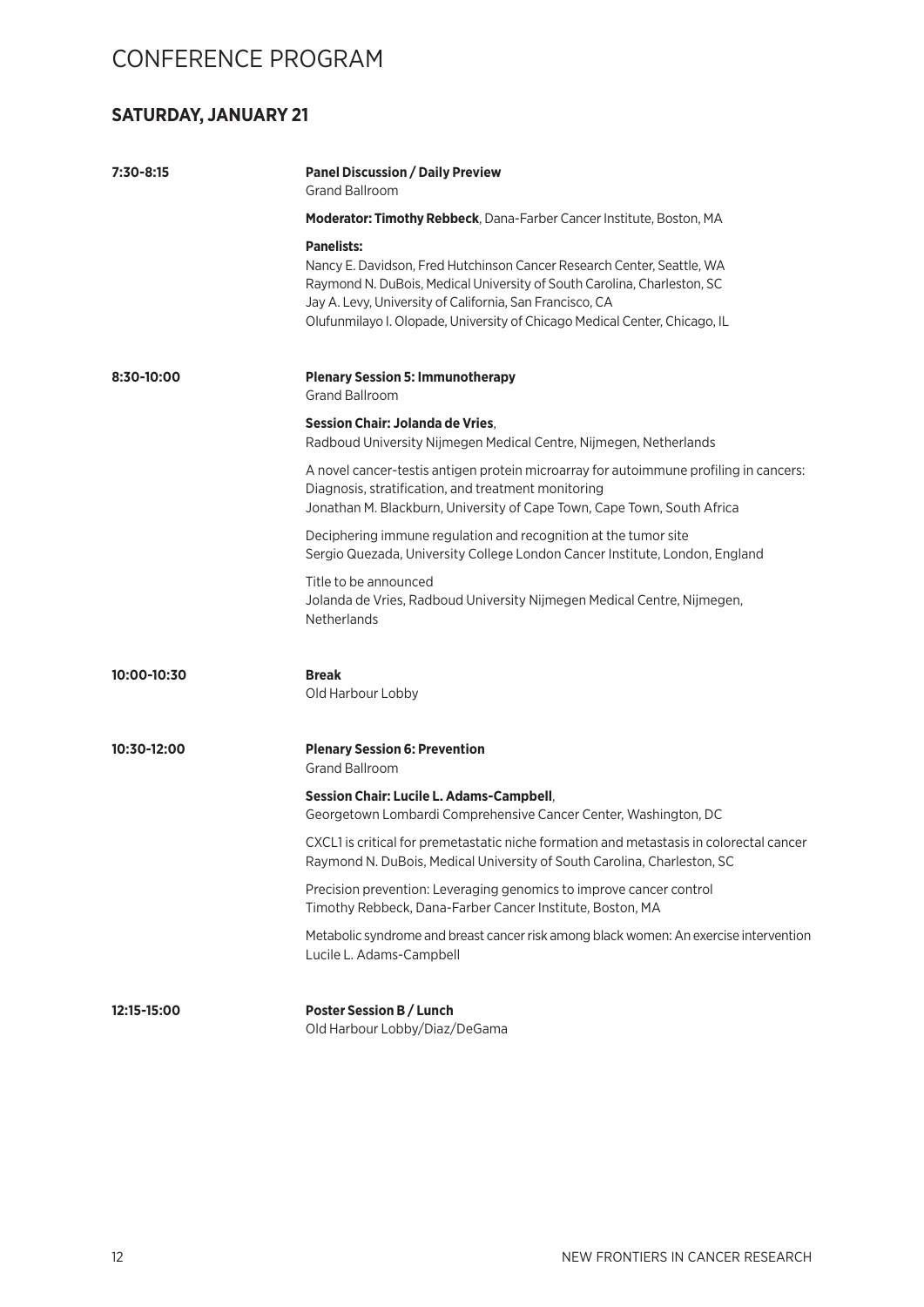#### **SATURDAY, JANUARY 21**

| 7:30-8:15   | <b>Panel Discussion / Daily Preview</b><br><b>Grand Ballroom</b>                                                                                                                                                                                                                                                 |
|-------------|------------------------------------------------------------------------------------------------------------------------------------------------------------------------------------------------------------------------------------------------------------------------------------------------------------------|
|             | Moderator: Timothy Rebbeck, Dana-Farber Cancer Institute, Boston, MA                                                                                                                                                                                                                                             |
|             | <b>Panelists:</b><br>Nancy E. Davidson, Fred Hutchinson Cancer Research Center, Seattle, WA<br>Raymond N. DuBois, Medical University of South Carolina, Charleston, SC<br>Jay A. Levy, University of California, San Francisco, CA<br>Olufunmilayo I. Olopade, University of Chicago Medical Center, Chicago, IL |
| 8:30-10:00  | <b>Plenary Session 5: Immunotherapy</b><br><b>Grand Ballroom</b>                                                                                                                                                                                                                                                 |
|             | Session Chair: Jolanda de Vries.<br>Radboud University Nijmegen Medical Centre, Nijmegen, Netherlands                                                                                                                                                                                                            |
|             | A novel cancer-testis antigen protein microarray for autoimmune profiling in cancers:<br>Diagnosis, stratification, and treatment monitoring<br>Jonathan M. Blackburn, University of Cape Town, Cape Town, South Africa                                                                                          |
|             | Deciphering immune regulation and recognition at the tumor site<br>Sergio Quezada, University College London Cancer Institute, London, England                                                                                                                                                                   |
|             | Title to be announced<br>Jolanda de Vries, Radboud University Nijmegen Medical Centre, Nijmegen,<br><b>Netherlands</b>                                                                                                                                                                                           |
| 10:00-10:30 | <b>Break</b><br>Old Harbour Lobby                                                                                                                                                                                                                                                                                |
| 10:30-12:00 | <b>Plenary Session 6: Prevention</b><br><b>Grand Ballroom</b>                                                                                                                                                                                                                                                    |
|             | <b>Session Chair: Lucile L. Adams-Campbell,</b><br>Georgetown Lombardi Comprehensive Cancer Center, Washington, DC                                                                                                                                                                                               |
|             | CXCL1 is critical for premetastatic niche formation and metastasis in colorectal cancer<br>Raymond N. DuBois, Medical University of South Carolina, Charleston, SC                                                                                                                                               |
|             | Precision prevention: Leveraging genomics to improve cancer control<br>Timothy Rebbeck, Dana-Farber Cancer Institute, Boston, MA                                                                                                                                                                                 |
|             | Metabolic syndrome and breast cancer risk among black women: An exercise intervention<br>Lucile L. Adams-Campbell                                                                                                                                                                                                |
| 12:15-15:00 | <b>Poster Session B / Lunch</b><br>Old Harbour Lobby/Diaz/DeGama                                                                                                                                                                                                                                                 |